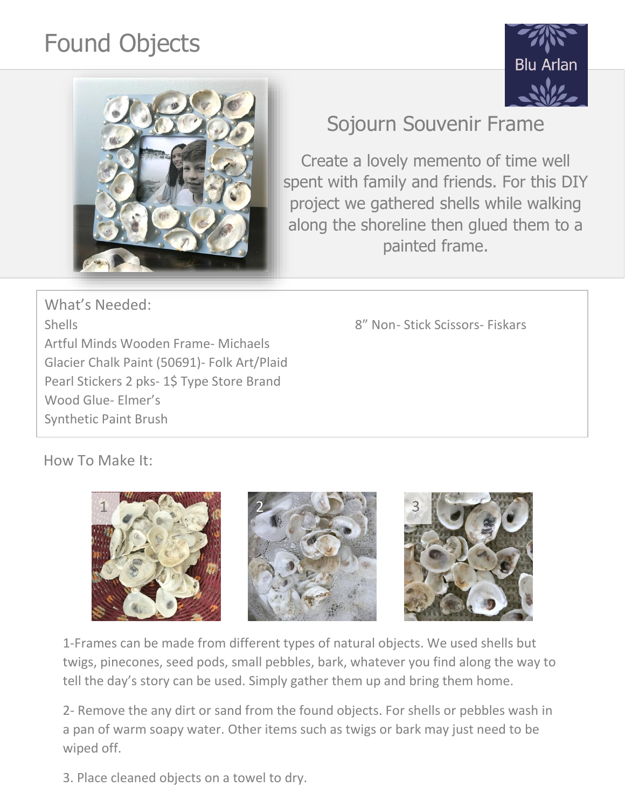## Found Objects





## Sojourn Souvenir Frame

Create a lovely memento of time well spent with family and friends. For this DIY project we gathered shells while walking along the shoreline then glued them to a painted frame.

What's Needed: Shells 8" Non- Stick Scissors- Fiskars Artful Minds Wooden Frame- Michaels Glacier Chalk Paint (50691)- Folk Art/Plaid Pearl Stickers 2 pks- 1\$ Type Store Brand Wood Glue- Elmer's Synthetic Paint Brush

How To Make It:



1-Frames can be made from different types of natural objects. We used shells but twigs, pinecones, seed pods, small pebbles, bark, whatever you find along the way to tell the day's story can be used. Simply gather them up and bring them home.

2- Remove the any dirt or sand from the found objects. For shells or pebbles wash in a pan of warm soapy water. Other items such as twigs or bark may just need to be wiped off.

3. Place cleaned objects on a towel to dry.